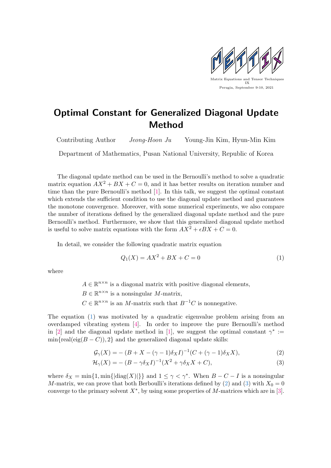

## Optimal Constant for Generalized Diagonal Update Method

Contributing Author Jeong-Hoon Ju Young-Jin Kim, Hyun-Min Kim

Department of Mathematics, Pusan National University, Republic of Korea

The diagonal update method can be used in the Bernoulli's method to solve a quadratic matrix equation  $AX^2 + BX + C = 0$ , and it has better results on iteration number and time than the pure Bernoulli's method [\[1\]](#page-2-0). In this talk, we suggest the optimal constant which extends the sufficient condition to use the diagonal update method and guarantees the monotone convergence. Moreover, with some numerical experiments, we also compare the number of iterations defined by the generalized diagonal update method and the pure Bernoulli's method. Furthermore, we show that this generalized diagonal update method is useful to solve matrix equations with the form  $AX^2 + \epsilon BX + C = 0$ .

In detail, we consider the following quadratic matrix equation

<span id="page-0-1"></span><span id="page-0-0"></span>
$$
Q_1(X) = AX^2 + BX + C = 0
$$
 (1)

where

 $A \in \mathbb{R}^{n \times n}$  is a diagonal matrix with positive diagonal elements,  $B \in \mathbb{R}^{n \times n}$  is a nonsingular M-matrix,  $C \in \mathbb{R}^{n \times n}$  is an M-matrix such that  $B^{-1}C$  is nonnegative.

The equation [\(1\)](#page-0-0) was motivated by a quadratic eigenvalue problem arising from an overdamped vibrating system [\[4\]](#page-2-1). In order to improve the pure Bernoulli's method in [\[2\]](#page-2-2) and the diagonal update method in [\[1\]](#page-2-0), we suggest the optimal constant  $\gamma^* :=$  $\min\{\text{real}(eig(B - C)), 2\}$  and the generalized diagonal update skills:

<span id="page-0-2"></span>
$$
\mathcal{G}_{\gamma}(X) = -\left(B + X - (\gamma - 1)\delta_X I\right)^{-1} \left(C + (\gamma - 1)\delta_X X\right),\tag{2}
$$

$$
\mathcal{H}_{\gamma}(X) = -\left(B - \gamma \delta_X I\right)^{-1} \left(X^2 + \gamma \delta_X X + C\right),\tag{3}
$$

where  $\delta_X = \min\{1, \min\{|\text{diag}(X)|\}\}\$  and  $1 \leq \gamma < \gamma^*$ . When  $B - C - I$  is a nonsingular M-matrix, we can prove that both Berboulli's iterations defined by [\(2\)](#page-0-1) and [\(3\)](#page-0-2) with  $X_0 = 0$ converge to the primary solvent  $X^*$ , by using some properties of M-matrices which are in [\[3\]](#page-2-3).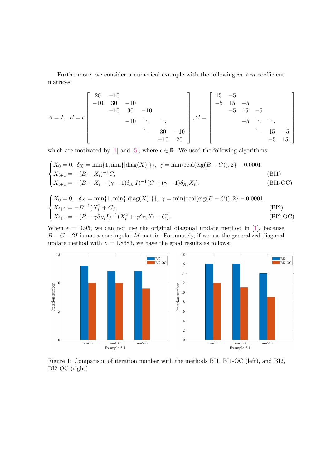Furthermore, we consider a numerical example with the following  $m \times m$  coefficient matrices:

$$
A = I, B = \epsilon
$$
\n
$$
\begin{bmatrix}\n20 & -10 & & & & \\
-10 & 30 & -10 & & & \\
& -10 & 30 & -10 & & \\
& & -10 & \ddots & \ddots & \\
& & & \ddots & 30 & -10 \\
& & & & -10 & 20\n\end{bmatrix}, C = \begin{bmatrix}\n15 & -5 & & & & \\
-5 & 15 & -5 & & & \\
& -5 & 15 & -5 & \\
& & & \ddots & \ddots & \\
& & & & \ddots & 15 & -5 \\
& & & & & -5 & 15\n\end{bmatrix}
$$

which are motivated by [\[1\]](#page-2-0) and [\[5\]](#page-2-4), where  $\epsilon \in \mathbb{R}$ . We used the following algorithms:

$$
\begin{cases}\nX_0 = 0, \ \delta_X = \min\{1, \min\{|\text{diag}(X)|\}\}, \ \gamma = \min\{\text{real}(\text{eig}(B - C)), 2\} - 0.0001 \\
X_{i+1} = -(B + X_i)^{-1}C, \tag{B11} \\
X_{i+1} = -(B + X_i - (\gamma - 1)\delta_{X_i}I)^{-1}(C + (\gamma - 1)\delta_{X_i}X_i). \tag{B11-OC}\n\end{cases}
$$

$$
\begin{cases}\nX_0 = 0, & \delta_X = \min\{1, \min\{|\text{diag}(X)|\}\}, \ \gamma = \min\{\text{real}(\text{eig}(B - C)), 2\} - 0.0001 \\
X_{i+1} = -B^{-1}(X_i^2 + C), & \text{(B12)} \\
X_{i+1} = -(B - \gamma \delta_{X_i} I)^{-1}(X_i^2 + \gamma \delta_{X_i} X_i + C).\n\end{cases}
$$
\n(B12-OC)

When  $\epsilon = 0.95$ , we can not use the original diagonal update method in [\[1\]](#page-2-0), because  $B - C - 2I$  is not a nonsingular M-matrix. Fortunately, if we use the generalized diagonal update method with  $\gamma = 1.8683$ , we have the good results as follows:



Figure 1: Comparison of iteration number with the methods BI1, BI1-OC (left), and BI2, BI2-OC (right)